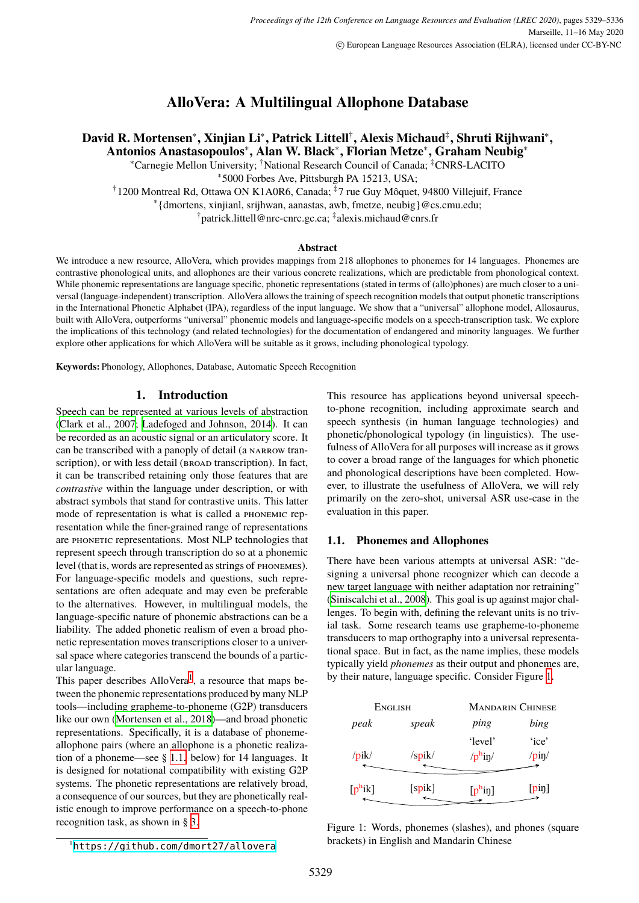# **AlloVera: A Multilingual Allophone Database**

# **David R. Mortensen**<sup>∗</sup> **, Xinjian Li**<sup>∗</sup> **, Patrick Littell**† **, Alexis Michaud**‡ **, Shruti Rijhwani**<sup>∗</sup> **, Antonios Anastasopoulos**<sup>∗</sup> **, Alan W. Black**<sup>∗</sup> **, Florian Metze**<sup>∗</sup> **, Graham Neubig**<sup>∗</sup>

<sup>∗</sup>Carnegie Mellon University; †National Research Council of Canada; ‡CNRS-LACITO

∗ 5000 Forbes Ave, Pittsburgh PA 15213, USA;

<sup>†</sup>1200 Montreal Rd, Ottawa ON K1A0R6, Canada; <sup>‡</sup>7 rue Guy Môquet, 94800 Villejuif, France

∗ {dmortens, xinjianl, srijhwan, aanastas, awb, fmetze, neubig}@cs.cmu.edu;

† patrick.littell@nrc-cnrc.gc.ca; ‡ alexis.michaud@cnrs.fr

#### **Abstract**

We introduce a new resource, AlloVera, which provides mappings from 218 allophones to phonemes for 14 languages. Phonemes are contrastive phonological units, and allophones are their various concrete realizations, which are predictable from phonological context. While phonemic representations are language specific, phonetic representations (stated in terms of (allo)phones) are much closer to a universal (language-independent) transcription. AlloVera allows the training of speech recognition models that output phonetic transcriptions in the International Phonetic Alphabet (IPA), regardless of the input language. We show that a "universal" allophone model, Allosaurus, built with AlloVera, outperforms "universal" phonemic models and language-specific models on a speech-transcription task. We explore the implications of this technology (and related technologies) for the documentation of endangered and minority languages. We further explore other applications for which AlloVera will be suitable as it grows, including phonological typology.

**Keywords:** Phonology, Allophones, Database, Automatic Speech Recognition

# **1. Introduction**

Speech can be represented at various levels of abstraction [\(Clark et al., 2007](#page-6-0); [Ladefoged and Johnson, 2014](#page-6-1)). It can be recorded as an acoustic signal or an articulatory score. It can be transcribed with a panoply of detail (a narrow transcription), or with less detail (BROAD transcription). In fact, it can be transcribed retaining only those features that are *contrastive* within the language under description, or with abstract symbols that stand for contrastive units. This latter mode of representation is what is called a phonemic representation while the finer-grained range of representations are phonetic representations. Most NLP technologies that represent speech through transcription do so at a phonemic level (that is, words are represented as strings of phonemes). For language-specific models and questions, such representations are often adequate and may even be preferable to the alternatives. However, in multilingual models, the language-specific nature of phonemic abstractions can be a liability. The added phonetic realism of even a broad phonetic representation moves transcriptions closer to a universal space where categories transcend the bounds of a particular language.

This paper describes  $\text{AlloVera}^1$  $\text{AlloVera}^1$ , a resource that maps between the phonemic representations produced by many NLP tools—including grapheme-to-phoneme (G2P) transducers like our own ([Mortensen et al., 2018](#page-6-2))—and broad phonetic representations. Specifically, it is a database of phonemeallophone pairs (where an allophone is a phonetic realization of a phoneme—see § [1.1.](#page-0-1) below) for 14 languages. It is designed for notational compatibility with existing G2P systems. The phonetic representations are relatively broad, a consequence of our sources, but they are phonetically realistic enough to improve performance on a speech-to-phone recognition task, as shown in § [3.](#page-3-0)

This resource has applications beyond universal speechto-phone recognition, including approximate search and speech synthesis (in human language technologies) and phonetic/phonological typology (in linguistics). The usefulness of AlloVera for all purposes will increase as it grows to cover a broad range of the languages for which phonetic and phonological descriptions have been completed. However, to illustrate the usefulness of AlloVera, we will rely primarily on the zero-shot, universal ASR use-case in the evaluation in this paper.

#### <span id="page-0-1"></span>**1.1. Phonemes and Allophones**

There have been various attempts at universal ASR: "designing a universal phone recognizer which can decode a new target language with neither adaptation nor retraining" [\(Siniscalchi et al., 2008\)](#page-7-0). This goal is up against major challenges. To begin with, defining the relevant units is no trivial task. Some research teams use grapheme-to-phoneme transducers to map orthography into a universal representational space. But in fact, as the name implies, these models typically yield *phonemes* as their output and phonemes are, by their nature, language specific. Consider Figure [1.](#page-0-2)

| ENGLISH    |        | <b>MANDARIN CHINESE</b> |               |  |  |
|------------|--------|-------------------------|---------------|--|--|
| peak       | speak  | ping                    | bing          |  |  |
|            |        | 'level'                 | 'ice'         |  |  |
| /pik/      | /spik/ | $/p^{\rm h}$ in/        | $\gamma$ pin/ |  |  |
| $[p^h$ ik] | [spik] | $[p^{\rm h}$ in]        | $[p$ iŋ]      |  |  |

<span id="page-0-2"></span>Figure 1: Words, phonemes (slashes), and phones (square brackets) in English and Mandarin Chinese

<span id="page-0-0"></span><sup>1</sup><https://github.com/dmort27/allovera>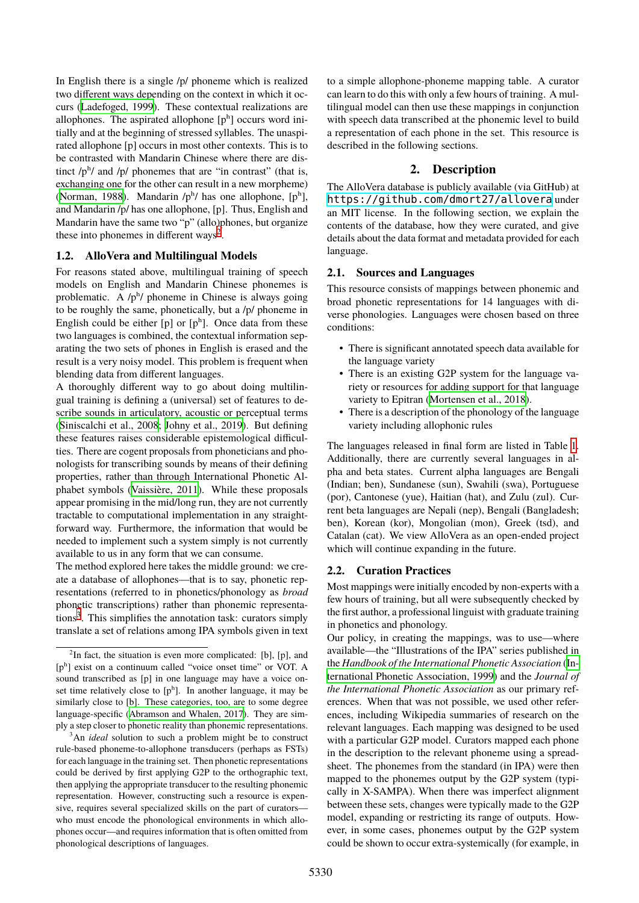In English there is a single /p/ phoneme which is realized two different ways depending on the context in which it occurs [\(Ladefoged, 1999](#page-6-3)). These contextual realizations are allophones. The aspirated allophone  $[p^h]$  occurs word initially and at the beginning of stressed syllables. The unaspirated allophone [p] occurs in most other contexts. This is to be contrasted with Mandarin Chinese where there are distinct  $/p<sup>h</sup>$  and  $/p$  phonemes that are "in contrast" (that is, exchanging one for the other can result in a new morpheme) [\(Norman, 1988\)](#page-7-1). Mandarin  $/p^h$  has one allophone,  $[p^h]$ , and Mandarin /p/ has one allophone, [p]. Thus, English and Mandarin have the same two "p" (allo)phones, but organize these into phonemes in different ways<sup>[2](#page-1-0)</sup>.

# **1.2. AlloVera and Multilingual Models**

For reasons stated above, multilingual training of speech models on English and Mandarin Chinese phonemes is problematic. A  $/p^h$  phoneme in Chinese is always going to be roughly the same, phonetically, but a /p/ phoneme in English could be either  $[p]$  or  $[p^h]$ . Once data from these two languages is combined, the contextual information separating the two sets of phones in English is erased and the result is a very noisy model. This problem is frequent when blending data from different languages.

A thoroughly different way to go about doing multilingual training is defining a (universal) set of features to describe sounds in articulatory, acoustic or perceptual terms [\(Siniscalchi et al., 2008;](#page-7-0) [Johny et al., 2019](#page-6-4)). But defining these features raises considerable epistemological difficulties. There are cogent proposals from phoneticians and phonologists for transcribing sounds by means of their defining properties, rather than through International Phonetic Alphabet symbols [\(Vaissière, 2011\)](#page-7-2). While these proposals appear promising in the mid/long run, they are not currently tractable to computational implementation in any straightforward way. Furthermore, the information that would be needed to implement such a system simply is not currently available to us in any form that we can consume.

The method explored here takes the middle ground: we create a database of allophones—that is to say, phonetic representations (referred to in phonetics/phonology as *broad* phonetic transcriptions) rather than phonemic representa-tions<sup>[3](#page-1-1)</sup>. This simplifies the annotation task: curators simply translate a set of relations among IPA symbols given in text

<span id="page-1-1"></span><sup>3</sup>An *ideal* solution to such a problem might be to construct rule-based phoneme-to-allophone transducers (perhaps as FSTs) for each language in the training set. Then phonetic representations could be derived by first applying G2P to the orthographic text, then applying the appropriate transducer to the resulting phonemic representation. However, constructing such a resource is expensive, requires several specialized skills on the part of curators who must encode the phonological environments in which allophones occur—and requires information that is often omitted from phonological descriptions of languages.

to a simple allophone-phoneme mapping table. A curator can learn to do this with only a few hours of training. A multilingual model can then use these mappings in conjunction with speech data transcribed at the phonemic level to build a representation of each phone in the set. This resource is described in the following sections.

# **2. Description**

The AlloVera database is publicly available (via GitHub) at <https://github.com/dmort27/allovera> under an MIT license. In the following section, we explain the contents of the database, how they were curated, and give details about the data format and metadata provided for each language.

## **2.1. Sources and Languages**

This resource consists of mappings between phonemic and broad phonetic representations for 14 languages with diverse phonologies. Languages were chosen based on three conditions:

- There is significant annotated speech data available for the language variety
- There is an existing G2P system for the language variety or resources for adding support for that language variety to Epitran [\(Mortensen et al., 2018\)](#page-6-2).
- There is a description of the phonology of the language variety including allophonic rules

The languages released in final form are listed in Table [1](#page-2-0). Additionally, there are currently several languages in alpha and beta states. Current alpha languages are Bengali (Indian; ben), Sundanese (sun), Swahili (swa), Portuguese (por), Cantonese (yue), Haitian (hat), and Zulu (zul). Current beta languages are Nepali (nep), Bengali (Bangladesh; ben), Korean (kor), Mongolian (mon), Greek (tsd), and Catalan (cat). We view AlloVera as an open-ended project which will continue expanding in the future.

## **2.2. Curation Practices**

Most mappings were initially encoded by non-experts with a few hours of training, but all were subsequently checked by the first author, a professional linguist with graduate training in phonetics and phonology.

Our policy, in creating the mappings, was to use—where available—the "Illustrations of the IPA" series published in the *Handbook of the International Phonetic Association* [\(In](#page-6-6)[ternational Phonetic Association, 1999](#page-6-6)) and the *Journal of the International Phonetic Association* as our primary references. When that was not possible, we used other references, including Wikipedia summaries of research on the relevant languages. Each mapping was designed to be used with a particular G2P model. Curators mapped each phone in the description to the relevant phoneme using a spreadsheet. The phonemes from the standard (in IPA) were then mapped to the phonemes output by the G2P system (typically in X-SAMPA). When there was imperfect alignment between these sets, changes were typically made to the G2P model, expanding or restricting its range of outputs. However, in some cases, phonemes output by the G2P system could be shown to occur extra-systemically (for example, in

<span id="page-1-0"></span> $2$ In fact, the situation is even more complicated: [b], [p], and [pʰ] exist on a continuum called "voice onset time" or VOT. A sound transcribed as [p] in one language may have a voice onset time relatively close to  $[p^h]$ . In another language, it may be similarly close to [b]. These categories, too, are to some degree language-specific [\(Abramson and Whalen, 2017\)](#page-6-5). They are simply a step closer to phonetic reality than phonemic representations.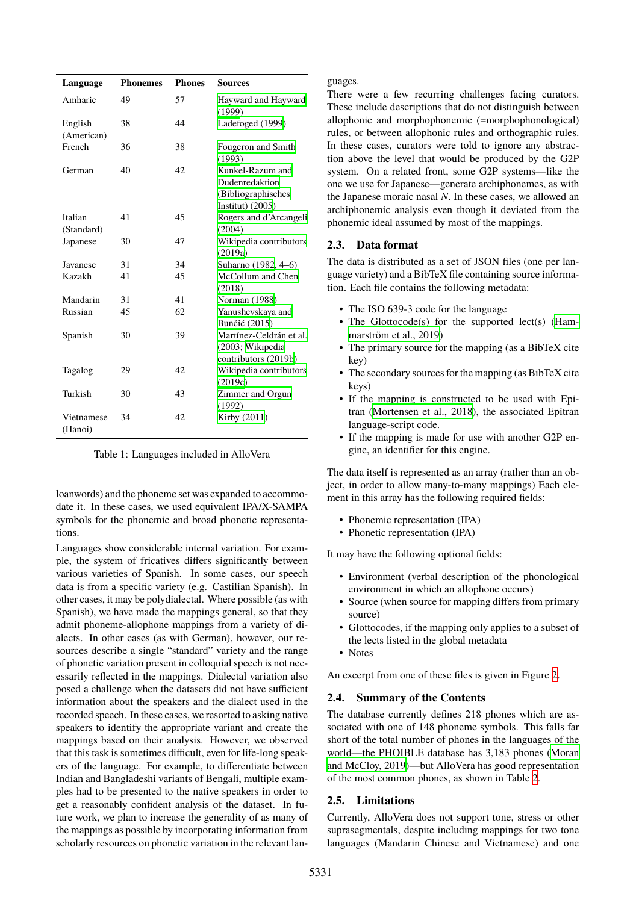| Language              | <b>Phonemes</b> | <b>Phones</b> | Sources                                                                        |
|-----------------------|-----------------|---------------|--------------------------------------------------------------------------------|
| Amharic               | 49              | 57            | Hayward and Hayward<br>(1999)                                                  |
| English<br>(American) | 38              | 44            | Ladefoged (1999)                                                               |
| French                | 36              | 38            | Fougeron and Smith<br>(1993)                                                   |
| German                | 40              | 42            | Kunkel-Razum and<br>Dudenredaktion<br>(Bibliographisches<br>Institut) $(2005)$ |
| Italian<br>(Standard) | 41              | 45            | Rogers and d'Arcangeli<br>(2004)                                               |
| Japanese              | 30              | 47            | Wikipedia contributors<br>(2019a)                                              |
| Javanese              | 31              | 34            | Suharno (1982, 4-6)                                                            |
| Kazakh                | 41              | 45            | McCollum and Chen<br>(2018)                                                    |
| Mandarin              | 31              | 41            | Norman (1988)                                                                  |
| Russian               | 45              | 62            | Yanushevskaya and<br>Bunčić (2015)                                             |
| Spanish               | 30              | 39            | Martínez-Celdrán et al.<br>(2003; Wikipedia<br>contributors (2019b)            |
| Tagalog               | 29              | 42            | Wikipedia contributors<br>(2019c)                                              |
| Turkish               | 30              | 43            | Zimmer and Orgun<br>(1992)                                                     |
| Vietnamese<br>(Hanoi) | 34              | 42            | Kirby (2011)                                                                   |

<span id="page-2-0"></span>Table 1: Languages included in AlloVera

loanwords) and the phoneme set was expanded to accommodate it. In these cases, we used equivalent IPA/X-SAMPA symbols for the phonemic and broad phonetic representations.

Languages show considerable internal variation. For example, the system of fricatives differs significantly between various varieties of Spanish. In some cases, our speech data is from a specific variety (e.g. Castilian Spanish). In other cases, it may be polydialectal. Where possible (as with Spanish), we have made the mappings general, so that they admit phoneme-allophone mappings from a variety of dialects. In other cases (as with German), however, our resources describe a single "standard" variety and the range of phonetic variation present in colloquial speech is not necessarily reflected in the mappings. Dialectal variation also posed a challenge when the datasets did not have sufficient information about the speakers and the dialect used in the recorded speech. In these cases, we resorted to asking native speakers to identify the appropriate variant and create the mappings based on their analysis. However, we observed that this task is sometimes difficult, even for life-long speakers of the language. For example, to differentiate between Indian and Bangladeshi variants of Bengali, multiple examples had to be presented to the native speakers in order to get a reasonably confident analysis of the dataset. In future work, we plan to increase the generality of as many of the mappings as possible by incorporating information from scholarly resources on phonetic variation in the relevant languages.

There were a few recurring challenges facing curators. These include descriptions that do not distinguish between allophonic and morphophonemic (=morphophonological) rules, or between allophonic rules and orthographic rules. In these cases, curators were told to ignore any abstraction above the level that would be produced by the G2P system. On a related front, some G2P systems—like the one we use for Japanese—generate archiphonemes, as with the Japanese moraic nasal *N*. In these cases, we allowed an archiphonemic analysis even though it deviated from the phonemic ideal assumed by most of the mappings.

# **2.3. Data format**

The data is distributed as a set of JSON files (one per language variety) and a BibTeX file containing source information. Each file contains the following metadata:

- The ISO 639-3 code for the language
- The Glottocode(s) for the supported lect(s) [\(Ham](#page-6-13)[marström et al., 2019\)](#page-6-13)
- The primary source for the mapping (as a BibTeX cite key)
- The secondary sources for the mapping (as BibTeX cite keys)
- If the mapping is constructed to be used with Epitran [\(Mortensen et al., 2018](#page-6-2)), the associated Epitran language-script code.
- If the mapping is made for use with another G2P engine, an identifier for this engine.

The data itself is represented as an array (rather than an object, in order to allow many-to-many mappings) Each element in this array has the following required fields:

- Phonemic representation (IPA)
- Phonetic representation (IPA)

It may have the following optional fields:

- Environment (verbal description of the phonological environment in which an allophone occurs)
- Source (when source for mapping differs from primary source)
- Glottocodes, if the mapping only applies to a subset of the lects listed in the global metadata
- Notes

An excerpt from one of these files is given in Figure [2](#page-3-1).

## **2.4. Summary of the Contents**

The database currently defines 218 phones which are associated with one of 148 phoneme symbols. This falls far short of the total number of phones in the languages of the world—the PHOIBLE database has 3,183 phones [\(Moran](#page-6-14) [and McCloy, 2019](#page-6-14))—but AlloVera has good representation of the most common phones, as shown in Table [2](#page-3-2).

# **2.5. Limitations**

Currently, AlloVera does not support tone, stress or other suprasegmentals, despite including mappings for two tone languages (Mandarin Chinese and Vietnamese) and one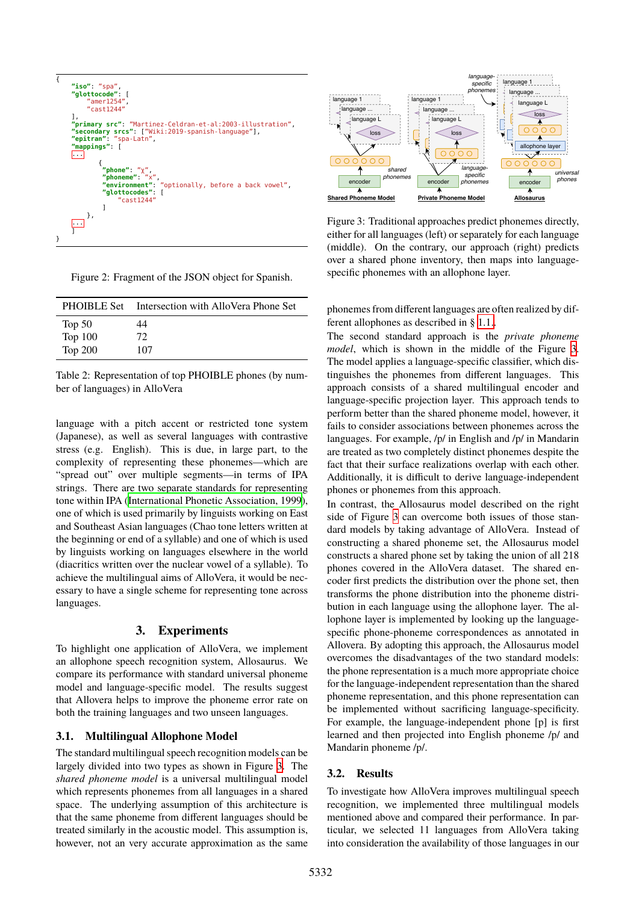```
7
     "iso": "spa
     "glottocode": [
           "amer1254",
          "cast1244"
     ],
"primary src": "Martinez-Celdran-et-al:2003-illustration",
     "secondary srcs": ["Wiki:2019-spanish-language"],
"epitran": "spa-Latn",
"mappings": [
    ...
              {
               "phone": "χ",
                "phoneme": "x",
"environment": "optionally, before a back vowel",
                "glottocodes": [
                     "cast1244"
                ]
          },
     ...
     ]
}
```
<span id="page-3-1"></span>

|  | Figure 2: Fragment of the JSON object for Spanish. |  |
|--|----------------------------------------------------|--|
|  |                                                    |  |

| <b>PHOIBLE Set</b> | Intersection with AlloVera Phone Set |
|--------------------|--------------------------------------|
| Top $50$           | 44                                   |
| <b>Top 100</b>     | 72                                   |
| <b>Top 200</b>     | 107                                  |

<span id="page-3-2"></span>Table 2: Representation of top PHOIBLE phones (by number of languages) in AlloVera

language with a pitch accent or restricted tone system (Japanese), as well as several languages with contrastive stress (e.g. English). This is due, in large part, to the complexity of representing these phonemes—which are "spread out" over multiple segments—in terms of IPA strings. There are two separate standards for representing tone within IPA [\(International Phonetic Association, 1999](#page-6-6)), one of which is used primarily by linguists working on East and Southeast Asian languages (Chao tone letters written at the beginning or end of a syllable) and one of which is used by linguists working on languages elsewhere in the world (diacritics written over the nuclear vowel of a syllable). To achieve the multilingual aims of AlloVera, it would be necessary to have a single scheme for representing tone across languages.

## **3. Experiments**

<span id="page-3-0"></span>To highlight one application of AlloVera, we implement an allophone speech recognition system, Allosaurus. We compare its performance with standard universal phoneme model and language-specific model. The results suggest that Allovera helps to improve the phoneme error rate on both the training languages and two unseen languages.

#### **3.1. Multilingual Allophone Model**

The standard multilingual speech recognition models can be largely divided into two types as shown in Figure [3](#page-3-3). The *shared phoneme model* is a universal multilingual model which represents phonemes from all languages in a shared space. The underlying assumption of this architecture is that the same phoneme from different languages should be treated similarly in the acoustic model. This assumption is, however, not an very accurate approximation as the same



<span id="page-3-3"></span>Figure 3: Traditional approaches predict phonemes directly, either for all languages (left) or separately for each language (middle). On the contrary, our approach (right) predicts over a shared phone inventory, then maps into languagespecific phonemes with an allophone layer.

phonemes from different languages are often realized by different allophones as described in § [1.1.](#page-0-1).

The second standard approach is the *private phoneme model*, which is shown in the middle of the Figure [3](#page-3-3). The model applies a language-specific classifier, which distinguishes the phonemes from different languages. This approach consists of a shared multilingual encoder and language-specific projection layer. This approach tends to perform better than the shared phoneme model, however, it fails to consider associations between phonemes across the languages. For example, /p/ in English and /p/ in Mandarin are treated as two completely distinct phonemes despite the fact that their surface realizations overlap with each other. Additionally, it is difficult to derive language-independent phones or phonemes from this approach.

In contrast, the Allosaurus model described on the right side of Figure [3](#page-3-3) can overcome both issues of those standard models by taking advantage of AlloVera. Instead of constructing a shared phoneme set, the Allosaurus model constructs a shared phone set by taking the union of all 218 phones covered in the AlloVera dataset. The shared encoder first predicts the distribution over the phone set, then transforms the phone distribution into the phoneme distribution in each language using the allophone layer. The allophone layer is implemented by looking up the languagespecific phone-phoneme correspondences as annotated in Allovera. By adopting this approach, the Allosaurus model overcomes the disadvantages of the two standard models: the phone representation is a much more appropriate choice for the language-independent representation than the shared phoneme representation, and this phone representation can be implemented without sacrificing language-specificity. For example, the language-independent phone [p] is first learned and then projected into English phoneme /p/ and Mandarin phoneme /p/.

#### **3.2. Results**

To investigate how AlloVera improves multilingual speech recognition, we implemented three multilingual models mentioned above and compared their performance. In particular, we selected 11 languages from AlloVera taking into consideration the availability of those languages in our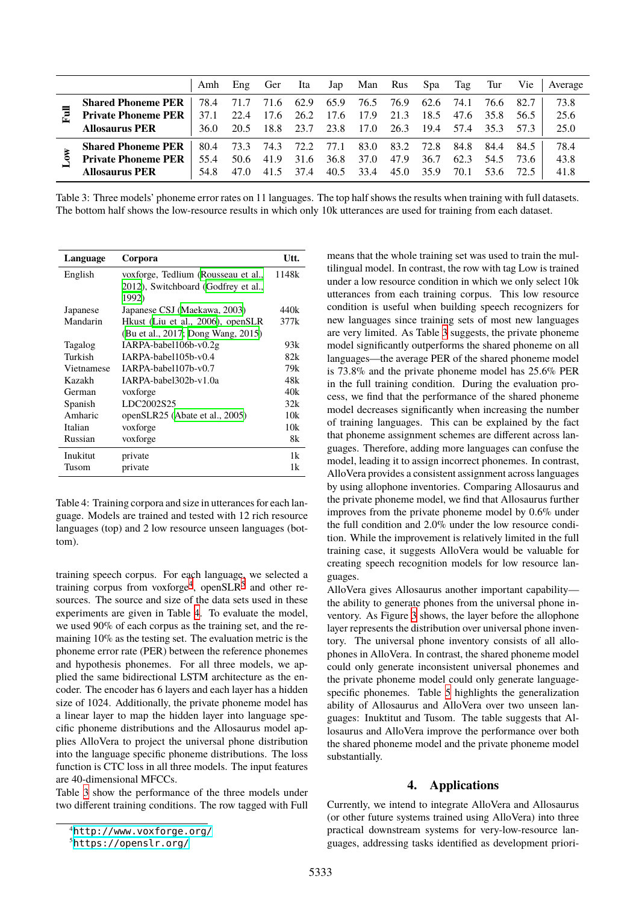|   |                            | Amh  | $E$ ng         | Ger  | Ita                 | Jap  |           | Man Rus Spa |                | Tag  | Tur       | Vie  | Average |
|---|----------------------------|------|----------------|------|---------------------|------|-----------|-------------|----------------|------|-----------|------|---------|
|   | <b>Shared Phoneme PER</b>  | 78.4 | 71.7           | 71.6 | 62.9                | 65.9 | 76.5 76.9 |             | 62.6           | 74.1 | 76.6      | 82.7 | 73.8    |
| Ē | <b>Private Phoneme PER</b> | 37.1 |                |      | 22.4 17.6 26.2 17.6 |      | 17.9      | 21.3        | 18.5           |      | 47.6 35.8 | 56.5 | 25.6    |
|   | <b>Allosaurus PER</b>      | 36.0 | 20.5 18.8 23.7 |      |                     | 23.8 | 17.0      |             | 26.3 19.4 57.4 |      | 35.3      | 57.3 | 25.0    |
|   | <b>Shared Phoneme PER</b>  | 80.4 |                |      | 73.3 74.3 72.2 77.1 |      | 83.0      | 83.2        | 72.8           | 84.8 | 84.4      | 84.5 | 78.4    |
|   | <b>Private Phoneme PER</b> | 55.4 |                |      | 50.6 41.9 31.6      | 36.8 | 37.0      | 47.9        | 36.7           | 62.3 | 54.5      | 73.6 | 43.8    |
|   | <b>Allosaurus PER</b>      | 54.8 | 47.0           | 415  | 37.4                | 40.5 | 33.4      | 45.0        | 35.9           | 70.1 | 53.6      | 72.5 | 41.8    |

<span id="page-4-3"></span>Table 3: Three models' phoneme error rates on 11 languages. The top half shows the results when training with full datasets. The bottom half shows the low-resource results in which only 10k utterances are used for training from each dataset.

| Language   | Corpora                             | Utt.  |
|------------|-------------------------------------|-------|
| English    | voxforge, Tedlium (Rousseau et al., | 1148k |
|            | 2012), Switchboard (Godfrey et al., |       |
|            | 1992)                               |       |
| Japanese   | Japanese CSJ (Maekawa, 2003)        | 440k  |
| Mandarin   | Hkust (Liu et al., 2006), openSLR   | 377k  |
|            | (Bu et al., 2017; Dong Wang, 2015)  |       |
| Tagalog    | IARPA-babel106b-v0.2g               | 93k   |
| Turkish    | IARPA-babel105b-y0.4                | 82k   |
| Vietnamese | IARPA-babel107b-y0.7                | 79k   |
| Kazakh     | IARPA-babel302b-v1.0a               | 48k   |
| German     | voxforge                            | 40k   |
| Spanish    | LDC2002S25                          | 32k   |
| Amharic    | openSLR25 (Abate et al., 2005)      | 10k   |
| Italian    | voxforge                            | 10k   |
| Russian    | voxforge                            | 8k    |
| Inukitut   | private                             | 1k    |
| Tusom      | private                             | 1k    |

<span id="page-4-2"></span>Table 4: Training corpora and size in utterances for each language. Models are trained and tested with 12 rich resource languages (top) and 2 low resource unseen languages (bottom).

training speech corpus. For each language, we selected a training corpus from voxforge<sup>[4](#page-4-0)</sup>, openSLR<sup>[5](#page-4-1)</sup> and other resources. The source and size of the data sets used in these experiments are given in Table [4](#page-4-2). To evaluate the model, we used 90% of each corpus as the training set, and the remaining 10% as the testing set. The evaluation metric is the phoneme error rate (PER) between the reference phonemes and hypothesis phonemes. For all three models, we applied the same bidirectional LSTM architecture as the encoder. The encoder has 6 layers and each layer has a hidden size of 1024. Additionally, the private phoneme model has a linear layer to map the hidden layer into language specific phoneme distributions and the Allosaurus model applies AlloVera to project the universal phone distribution into the language specific phoneme distributions. The loss function is CTC loss in all three models. The input features are 40-dimensional MFCCs.

Table [3](#page-4-3) show the performance of the three models under two different training conditions. The row tagged with Full

means that the whole training set was used to train the multilingual model. In contrast, the row with tag Low is trained under a low resource condition in which we only select 10k utterances from each training corpus. This low resource condition is useful when building speech recognizers for new languages since training sets of most new languages are very limited. As Table [3](#page-4-3) suggests, the private phoneme model significantly outperforms the shared phoneme on all languages—the average PER of the shared phoneme model is 73.8% and the private phoneme model has 25.6% PER in the full training condition. During the evaluation process, we find that the performance of the shared phoneme model decreases significantly when increasing the number of training languages. This can be explained by the fact that phoneme assignment schemes are different across languages. Therefore, adding more languages can confuse the model, leading it to assign incorrect phonemes. In contrast, AlloVera provides a consistent assignment across languages by using allophone inventories. Comparing Allosaurus and the private phoneme model, we find that Allosaurus further improves from the private phoneme model by 0.6% under the full condition and 2.0% under the low resource condition. While the improvement is relatively limited in the full training case, it suggests AlloVera would be valuable for creating speech recognition models for low resource languages.

AlloVera gives Allosaurus another important capability the ability to generate phones from the universal phone inventory. As Figure [3](#page-3-3) shows, the layer before the allophone layer represents the distribution over universal phone inventory. The universal phone inventory consists of all allophones in AlloVera. In contrast, the shared phoneme model could only generate inconsistent universal phonemes and the private phoneme model could only generate languagespecific phonemes. Table [5](#page-5-0) highlights the generalization ability of Allosaurus and AlloVera over two unseen languages: Inuktitut and Tusom. The table suggests that Allosaurus and AlloVera improve the performance over both the shared phoneme model and the private phoneme model substantially.

# **4. Applications**

Currently, we intend to integrate AlloVera and Allosaurus (or other future systems trained using AlloVera) into three practical downstream systems for very-low-resource languages, addressing tasks identified as development priori-

<span id="page-4-0"></span><sup>4</sup><http://www.voxforge.org/>

<span id="page-4-1"></span><sup>5</sup><https://openslr.org/>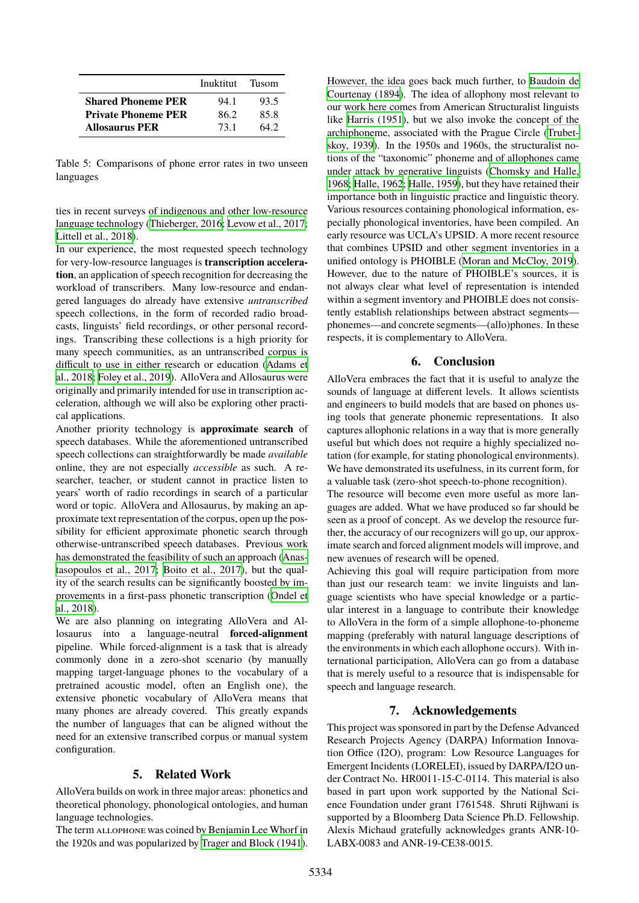|                            | Inuktitut Tusom |      |
|----------------------------|-----------------|------|
| <b>Shared Phoneme PER</b>  | 94.1            | 93.5 |
| <b>Private Phoneme PER</b> | 862             | 85.8 |
| <b>Allosaurus PER</b>      | 731             | 64.2 |

<span id="page-5-0"></span>Table 5: Comparisons of phone error rates in two unseen languages

ties in recent surveys of indigenous and other low-resource language technology [\(Thieberger, 2016;](#page-7-11) [Levow et al., 2017](#page-6-21); [Littell et al., 2018](#page-6-22)).

In our experience, the most requested speech technology for very-low-resource languages is **transcription acceleration**, an application of speech recognition for decreasing the workload of transcribers. Many low-resource and endangered languages do already have extensive *untranscribed* speech collections, in the form of recorded radio broadcasts, linguists' field recordings, or other personal recordings. Transcribing these collections is a high priority for many speech communities, as an untranscribed corpus is difficult to use in either research or education [\(Adams et](#page-6-23) [al., 2018](#page-6-23); [Foley et al., 2019\)](#page-6-24). AlloVera and Allosaurus were originally and primarily intended for use in transcription acceleration, although we will also be exploring other practical applications.

Another priority technology is **approximate search** of speech databases. While the aforementioned untranscribed speech collections can straightforwardly be made *available* online, they are not especially *accessible* as such. A researcher, teacher, or student cannot in practice listen to years' worth of radio recordings in search of a particular word or topic. AlloVera and Allosaurus, by making an approximate text representation of the corpus, open up the possibility for efficient approximate phonetic search through otherwise-untranscribed speech databases. Previous work has demonstrated the feasibility of such an approach [\(Anas](#page-6-25)[tasopoulos et al., 2017](#page-6-25); [Boito et al., 2017\)](#page-6-26), but the quality of the search results can be significantly boosted by improvements in a first-pass phonetic transcription [\(Ondel et](#page-7-12) [al., 2018\)](#page-7-12).

We are also planning on integrating AlloVera and Allosaurus into a language-neutral **forced-alignment** pipeline. While forced-alignment is a task that is already commonly done in a zero-shot scenario (by manually mapping target-language phones to the vocabulary of a pretrained acoustic model, often an English one), the extensive phonetic vocabulary of AlloVera means that many phones are already covered. This greatly expands the number of languages that can be aligned without the need for an extensive transcribed corpus or manual system configuration.

## **5. Related Work**

AlloVera builds on work in three major areas: phonetics and theoretical phonology, phonological ontologies, and human language technologies.

The term ALLOPHONE was coined by Benjamin Lee Whorf in the 1920s and was popularized by [Trager and Block \(1941](#page-7-13)).

However, the idea goes back much further, to [Baudoin de](#page-6-27) [Courtenay \(1894\)](#page-6-27). The idea of allophony most relevant to our work here comes from American Structuralist linguists like [Harris \(1951](#page-6-28)), but we also invoke the concept of the archiphoneme, associated with the Prague Circle [\(Trubet](#page-7-14)[skoy, 1939](#page-7-14)). In the 1950s and 1960s, the structuralist notions of the "taxonomic" phoneme and of allophones came under attack by generative linguists [\(Chomsky and Halle,](#page-6-29) [1968;](#page-6-29) [Halle, 1962;](#page-6-30) [Halle, 1959](#page-6-31)), but they have retained their importance both in linguistic practice and linguistic theory. Various resources containing phonological information, especially phonological inventories, have been compiled. An early resource was UCLA's UPSID. A more recent resource that combines UPSID and other segment inventories in a unified ontology is PHOIBLE ([Moran and McCloy, 2019\)](#page-6-14). However, due to the nature of PHOIBLE's sources, it is not always clear what level of representation is intended within a segment inventory and PHOIBLE does not consistently establish relationships between abstract segments phonemes—and concrete segments—(allo)phones. In these respects, it is complementary to AlloVera.

## **6. Conclusion**

AlloVera embraces the fact that it is useful to analyze the sounds of language at different levels. It allows scientists and engineers to build models that are based on phones using tools that generate phonemic representations. It also captures allophonic relations in a way that is more generally useful but which does not require a highly specialized notation (for example, for stating phonological environments). We have demonstrated its usefulness, in its current form, for a valuable task (zero-shot speech-to-phone recognition).

The resource will become even more useful as more languages are added. What we have produced so far should be seen as a proof of concept. As we develop the resource further, the accuracy of our recognizers will go up, our approximate search and forced alignment models will improve, and new avenues of research will be opened.

Achieving this goal will require participation from more than just our research team: we invite linguists and language scientists who have special knowledge or a particular interest in a language to contribute their knowledge to AlloVera in the form of a simple allophone-to-phoneme mapping (preferably with natural language descriptions of the environments in which each allophone occurs). With international participation, AlloVera can go from a database that is merely useful to a resource that is indispensable for speech and language research.

# **7. Acknowledgements**

This project was sponsored in part by the Defense Advanced Research Projects Agency (DARPA) Information Innovation Office (I2O), program: Low Resource Languages for Emergent Incidents (LORELEI), issued by DARPA/I2O under Contract No. HR0011-15-C-0114. This material is also based in part upon work supported by the National Science Foundation under grant 1761548. Shruti Rijhwani is supported by a Bloomberg Data Science Ph.D. Fellowship. Alexis Michaud gratefully acknowledges grants ANR-10- LABX-0083 and ANR-19-CE38-0015.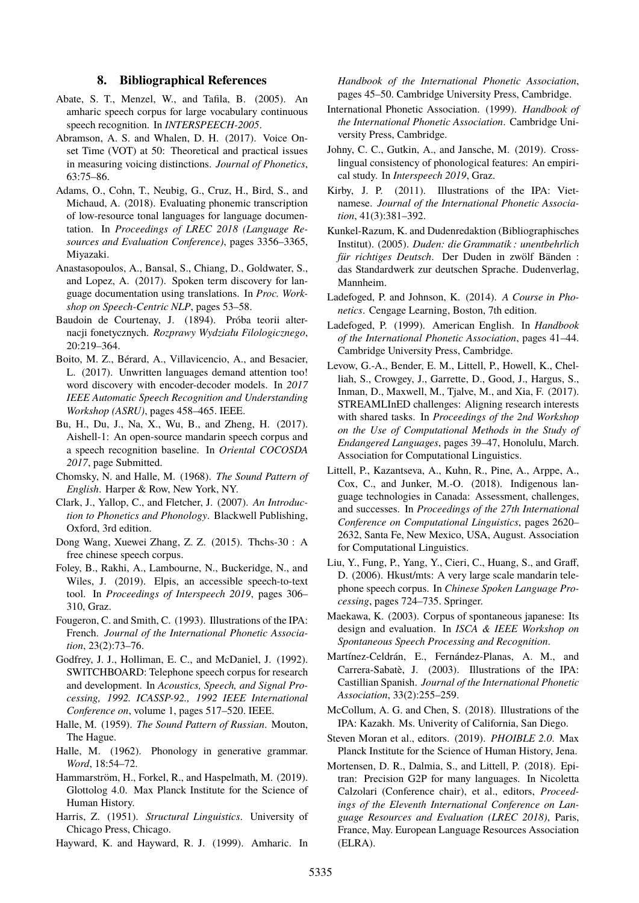## **8. Bibliographical References**

- <span id="page-6-20"></span>Abate, S. T., Menzel, W., and Tafila, B. (2005). An amharic speech corpus for large vocabulary continuous speech recognition. In *INTERSPEECH-2005*.
- <span id="page-6-5"></span>Abramson, A. S. and Whalen, D. H. (2017). Voice Onset Time (VOT) at 50: Theoretical and practical issues in measuring voicing distinctions. *Journal of Phonetics*, 63:75–86.
- <span id="page-6-23"></span>Adams, O., Cohn, T., Neubig, G., Cruz, H., Bird, S., and Michaud, A. (2018). Evaluating phonemic transcription of low-resource tonal languages for language documentation. In *Proceedings of LREC 2018 (Language Resources and Evaluation Conference)*, pages 3356–3365, Miyazaki.
- <span id="page-6-25"></span>Anastasopoulos, A., Bansal, S., Chiang, D., Goldwater, S., and Lopez, A. (2017). Spoken term discovery for language documentation using translations. In *Proc. Workshop on Speech-Centric NLP*, pages 53–58.
- <span id="page-6-27"></span>Baudoin de Courtenay, J. (1894). Próba teorii alternacji fonetycznych. *Rozprawy Wydziału Filologicznego*, 20:219–364.
- <span id="page-6-26"></span>Boito, M. Z., Bérard, A., Villavicencio, A., and Besacier, L. (2017). Unwritten languages demand attention too! word discovery with encoder-decoder models. In *2017 IEEE Automatic Speech Recognition and Understanding Workshop (ASRU)*, pages 458–465. IEEE.
- <span id="page-6-18"></span>Bu, H., Du, J., Na, X., Wu, B., and Zheng, H. (2017). Aishell-1: An open-source mandarin speech corpus and a speech recognition baseline. In *Oriental COCOSDA 2017*, page Submitted.
- <span id="page-6-29"></span>Chomsky, N. and Halle, M. (1968). *The Sound Pattern of English*. Harper & Row, New York, NY.
- <span id="page-6-0"></span>Clark, J., Yallop, C., and Fletcher, J. (2007). *An Introduction to Phonetics and Phonology*. Blackwell Publishing, Oxford, 3rd edition.
- <span id="page-6-19"></span>Dong Wang, Xuewei Zhang, Z. Z. (2015). Thchs-30 : A free chinese speech corpus.
- <span id="page-6-24"></span>Foley, B., Rakhi, A., Lambourne, N., Buckeridge, N., and Wiles, J. (2019). Elpis, an accessible speech-to-text tool. In *Proceedings of Interspeech 2019*, pages 306– 310, Graz.
- <span id="page-6-8"></span>Fougeron, C. and Smith, C. (1993). Illustrations of the IPA: French. *Journal of the International Phonetic Association*, 23(2):73–76.
- <span id="page-6-15"></span>Godfrey, J. J., Holliman, E. C., and McDaniel, J. (1992). SWITCHBOARD: Telephone speech corpus for research and development. In *Acoustics, Speech, and Signal Processing, 1992. ICASSP-92., 1992 IEEE International Conference on*, volume 1, pages 517–520. IEEE.
- <span id="page-6-31"></span>Halle, M. (1959). *The Sound Pattern of Russian*. Mouton, The Hague.
- <span id="page-6-30"></span>Halle, M. (1962). Phonology in generative grammar. *Word*, 18:54–72.
- <span id="page-6-13"></span>Hammarström, H., Forkel, R., and Haspelmath, M. (2019). Glottolog 4.0. Max Planck Institute for the Science of Human History.
- <span id="page-6-28"></span>Harris, Z. (1951). *Structural Linguistics*. University of Chicago Press, Chicago.

<span id="page-6-7"></span>Hayward, K. and Hayward, R. J. (1999). Amharic. In

*Handbook of the International Phonetic Association*, pages 45–50. Cambridge University Press, Cambridge.

- <span id="page-6-6"></span>International Phonetic Association. (1999). *Handbook of the International Phonetic Association*. Cambridge University Press, Cambridge.
- <span id="page-6-4"></span>Johny, C. C., Gutkin, A., and Jansche, M. (2019). Crosslingual consistency of phonological features: An empirical study. In *Interspeech 2019*, Graz.
- <span id="page-6-12"></span>Kirby, J. P. (2011). Illustrations of the IPA: Vietnamese. *Journal of the International Phonetic Association*, 41(3):381–392.
- <span id="page-6-9"></span>Kunkel-Razum, K. and Dudenredaktion (Bibliographisches Institut). (2005). *Duden: die Grammatik : unentbehrlich für richtiges Deutsch*. Der Duden in zwölf Bänden : das Standardwerk zur deutschen Sprache. Dudenverlag, Mannheim.
- <span id="page-6-1"></span>Ladefoged, P. and Johnson, K. (2014). *A Course in Phonetics*. Cengage Learning, Boston, 7th edition.
- <span id="page-6-3"></span>Ladefoged, P. (1999). American English. In *Handbook of the International Phonetic Association*, pages 41–44. Cambridge University Press, Cambridge.
- <span id="page-6-21"></span>Levow, G.-A., Bender, E. M., Littell, P., Howell, K., Chelliah, S., Crowgey, J., Garrette, D., Good, J., Hargus, S., Inman, D., Maxwell, M., Tjalve, M., and Xia, F. (2017). STREAMLInED challenges: Aligning research interests with shared tasks. In *Proceedings of the 2nd Workshop on the Use of Computational Methods in the Study of Endangered Languages*, pages 39–47, Honolulu, March. Association for Computational Linguistics.
- <span id="page-6-22"></span>Littell, P., Kazantseva, A., Kuhn, R., Pine, A., Arppe, A., Cox, C., and Junker, M.-O. (2018). Indigenous language technologies in Canada: Assessment, challenges, and successes. In *Proceedings of the 27th International Conference on Computational Linguistics*, pages 2620– 2632, Santa Fe, New Mexico, USA, August. Association for Computational Linguistics.
- <span id="page-6-17"></span>Liu, Y., Fung, P., Yang, Y., Cieri, C., Huang, S., and Graff, D. (2006). Hkust/mts: A very large scale mandarin telephone speech corpus. In *Chinese Spoken Language Processing*, pages 724–735. Springer.
- <span id="page-6-16"></span>Maekawa, K. (2003). Corpus of spontaneous japanese: Its design and evaluation. In *ISCA & IEEE Workshop on Spontaneous Speech Processing and Recognition*.
- <span id="page-6-11"></span>Martínez-Celdrán, E., Fernández-Planas, A. M., and Carrera-Sabatè, J. (2003). Illustrations of the IPA: Castillian Spanish. *Journal of the International Phonetic Association*, 33(2):255–259.
- <span id="page-6-10"></span>McCollum, A. G. and Chen, S. (2018). Illustrations of the IPA: Kazakh. Ms. Univerity of California, San Diego.
- <span id="page-6-14"></span>Steven Moran et al., editors. (2019). *PHOIBLE 2.0*. Max Planck Institute for the Science of Human History, Jena.
- <span id="page-6-2"></span>Mortensen, D. R., Dalmia, S., and Littell, P. (2018). Epitran: Precision G2P for many languages. In Nicoletta Calzolari (Conference chair), et al., editors, *Proceedings of the Eleventh International Conference on Language Resources and Evaluation (LREC 2018)*, Paris, France, May. European Language Resources Association (ELRA).